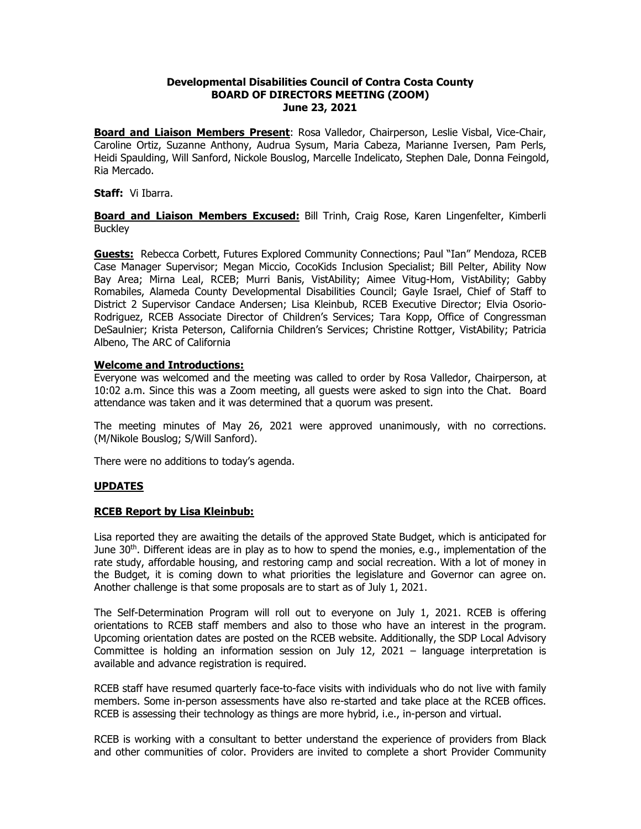### **Developmental Disabilities Council of Contra Costa County BOARD OF DIRECTORS MEETING (ZOOM) June 23, 2021**

**Board and Liaison Members Present**: Rosa Valledor, Chairperson, Leslie Visbal, Vice-Chair, Caroline Ortiz, Suzanne Anthony, Audrua Sysum, Maria Cabeza, Marianne Iversen, Pam Perls, Heidi Spaulding, Will Sanford, Nickole Bouslog, Marcelle Indelicato, Stephen Dale, Donna Feingold, Ria Mercado.

#### **Staff:** Vi Ibarra.

**Board and Liaison Members Excused:** Bill Trinh, Craig Rose, Karen Lingenfelter, Kimberli **Buckley** 

**Guests:** Rebecca Corbett, Futures Explored Community Connections; Paul "Ian" Mendoza, RCEB Case Manager Supervisor; Megan Miccio, CocoKids Inclusion Specialist; Bill Pelter, Ability Now Bay Area; Mirna Leal, RCEB; Murri Banis, VistAbility; Aimee Vitug-Hom, VistAbility; Gabby Romabiles, Alameda County Developmental Disabilities Council; Gayle Israel, Chief of Staff to District 2 Supervisor Candace Andersen; Lisa Kleinbub, RCEB Executive Director; Elvia Osorio-Rodriguez, RCEB Associate Director of Children's Services; Tara Kopp, Office of Congressman DeSaulnier; Krista Peterson, California Children's Services; Christine Rottger, VistAbility; Patricia Albeno, The ARC of California

#### **Welcome and Introductions:**

Everyone was welcomed and the meeting was called to order by Rosa Valledor, Chairperson, at 10:02 a.m. Since this was a Zoom meeting, all guests were asked to sign into the Chat. Board attendance was taken and it was determined that a quorum was present.

The meeting minutes of May 26, 2021 were approved unanimously, with no corrections. (M/Nikole Bouslog; S/Will Sanford).

There were no additions to today's agenda.

## **UPDATES**

## **RCEB Report by Lisa Kleinbub:**

Lisa reported they are awaiting the details of the approved State Budget, which is anticipated for June 30<sup>th</sup>. Different ideas are in play as to how to spend the monies, e.g., implementation of the rate study, affordable housing, and restoring camp and social recreation. With a lot of money in the Budget, it is coming down to what priorities the legislature and Governor can agree on. Another challenge is that some proposals are to start as of July 1, 2021.

The Self-Determination Program will roll out to everyone on July 1, 2021. RCEB is offering orientations to RCEB staff members and also to those who have an interest in the program. Upcoming orientation dates are posted on the RCEB website. Additionally, the SDP Local Advisory Committee is holding an information session on July 12, 2021 – language interpretation is available and advance registration is required.

RCEB staff have resumed quarterly face-to-face visits with individuals who do not live with family members. Some in-person assessments have also re-started and take place at the RCEB offices. RCEB is assessing their technology as things are more hybrid, i.e., in-person and virtual.

RCEB is working with a consultant to better understand the experience of providers from Black and other communities of color. Providers are invited to complete a short Provider Community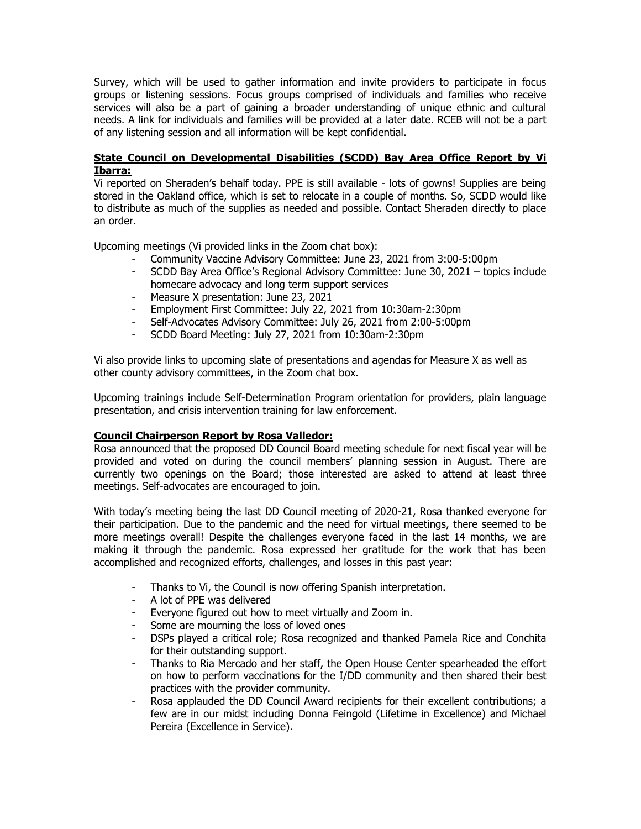Survey, which will be used to gather information and invite providers to participate in focus groups or listening sessions. Focus groups comprised of individuals and families who receive services will also be a part of gaining a broader understanding of unique ethnic and cultural needs. A link for individuals and families will be provided at a later date. RCEB will not be a part of any listening session and all information will be kept confidential.

# **State Council on Developmental Disabilities (SCDD) Bay Area Office Report by Vi Ibarra:**

Vi reported on Sheraden's behalf today. PPE is still available - lots of gowns! Supplies are being stored in the Oakland office, which is set to relocate in a couple of months. So, SCDD would like to distribute as much of the supplies as needed and possible. Contact Sheraden directly to place an order.

Upcoming meetings (Vi provided links in the Zoom chat box):

- Community Vaccine Advisory Committee: June 23, 2021 from 3:00-5:00pm<br>- SCDD Bay Area Office's Regional Advisory Committee: June 30, 2021 topi
- SCDD Bay Area Office's Regional Advisory Committee: June 30, 2021 topics include homecare advocacy and long term support services
- Measure X presentation: June 23, 2021
- Employment First Committee: July 22, 2021 from 10:30am-2:30pm
- Self-Advocates Advisory Committee: July 26, 2021 from 2:00-5:00pm<br>- SCDD Board Meeting: July 27, 2021 from 10:30am-2:30pm
- SCDD Board Meeting: July 27, 2021 from 10:30am-2:30pm

Vi also provide links to upcoming slate of presentations and agendas for Measure X as well as other county advisory committees, in the Zoom chat box.

Upcoming trainings include Self-Determination Program orientation for providers, plain language presentation, and crisis intervention training for law enforcement.

## **Council Chairperson Report by Rosa Valledor:**

Rosa announced that the proposed DD Council Board meeting schedule for next fiscal year will be provided and voted on during the council members' planning session in August. There are currently two openings on the Board; those interested are asked to attend at least three meetings. Self-advocates are encouraged to join.

With today's meeting being the last DD Council meeting of 2020-21, Rosa thanked everyone for their participation. Due to the pandemic and the need for virtual meetings, there seemed to be more meetings overall! Despite the challenges everyone faced in the last 14 months, we are making it through the pandemic. Rosa expressed her gratitude for the work that has been accomplished and recognized efforts, challenges, and losses in this past year:

- Thanks to Vi, the Council is now offering Spanish interpretation.
- A lot of PPE was delivered
- Everyone figured out how to meet virtually and Zoom in.
- Some are mourning the loss of loved ones
- DSPs played a critical role; Rosa recognized and thanked Pamela Rice and Conchita for their outstanding support.
- Thanks to Ria Mercado and her staff, the Open House Center spearheaded the effort on how to perform vaccinations for the I/DD community and then shared their best practices with the provider community.
- Rosa applauded the DD Council Award recipients for their excellent contributions; a few are in our midst including Donna Feingold (Lifetime in Excellence) and Michael Pereira (Excellence in Service).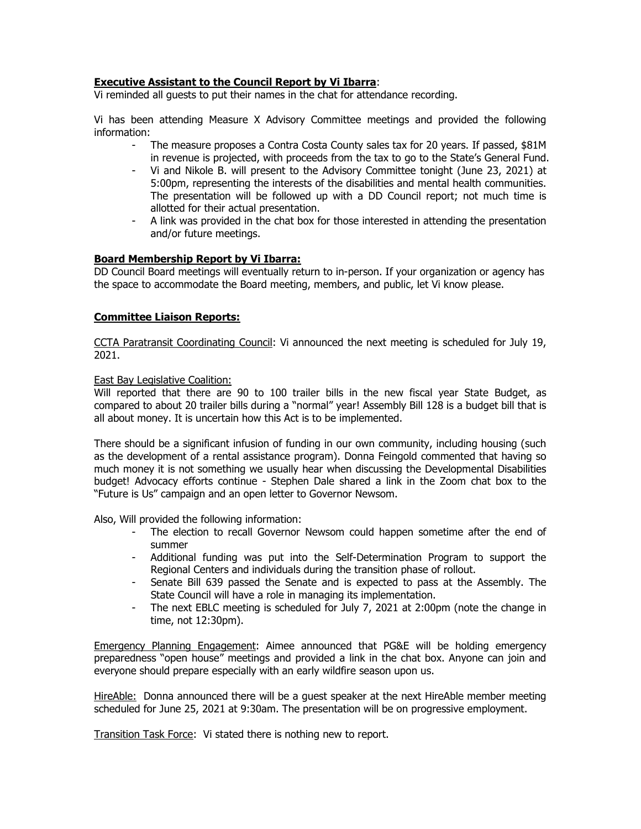## **Executive Assistant to the Council Report by Vi Ibarra**:

Vi reminded all guests to put their names in the chat for attendance recording.

Vi has been attending Measure X Advisory Committee meetings and provided the following information:

- The measure proposes a Contra Costa County sales tax for 20 years. If passed, \$81M in revenue is projected, with proceeds from the tax to go to the State's General Fund.
- Vi and Nikole B. will present to the Advisory Committee tonight (June 23, 2021) at 5:00pm, representing the interests of the disabilities and mental health communities. The presentation will be followed up with a DD Council report; not much time is allotted for their actual presentation.
- A link was provided in the chat box for those interested in attending the presentation and/or future meetings.

#### **Board Membership Report by Vi Ibarra:**

DD Council Board meetings will eventually return to in-person. If your organization or agency has the space to accommodate the Board meeting, members, and public, let Vi know please.

#### **Committee Liaison Reports:**

CCTA Paratransit Coordinating Council: Vi announced the next meeting is scheduled for July 19, 2021.

#### East Bay Legislative Coalition:

Will reported that there are 90 to 100 trailer bills in the new fiscal year State Budget, as compared to about 20 trailer bills during a "normal" year! Assembly Bill 128 is a budget bill that is all about money. It is uncertain how this Act is to be implemented.

There should be a significant infusion of funding in our own community, including housing (such as the development of a rental assistance program). Donna Feingold commented that having so much money it is not something we usually hear when discussing the Developmental Disabilities budget! Advocacy efforts continue - Stephen Dale shared a link in the Zoom chat box to the "Future is Us" campaign and an open letter to Governor Newsom.

Also, Will provided the following information:

- The election to recall Governor Newsom could happen sometime after the end of summer
- Additional funding was put into the Self-Determination Program to support the Regional Centers and individuals during the transition phase of rollout.
- Senate Bill 639 passed the Senate and is expected to pass at the Assembly. The State Council will have a role in managing its implementation.
- The next EBLC meeting is scheduled for July 7, 2021 at 2:00pm (note the change in time, not 12:30pm).

Emergency Planning Engagement: Aimee announced that PG&E will be holding emergency preparedness "open house" meetings and provided a link in the chat box. Anyone can join and everyone should prepare especially with an early wildfire season upon us.

HireAble: Donna announced there will be a guest speaker at the next HireAble member meeting scheduled for June 25, 2021 at 9:30am. The presentation will be on progressive employment.

Transition Task Force: Vi stated there is nothing new to report.